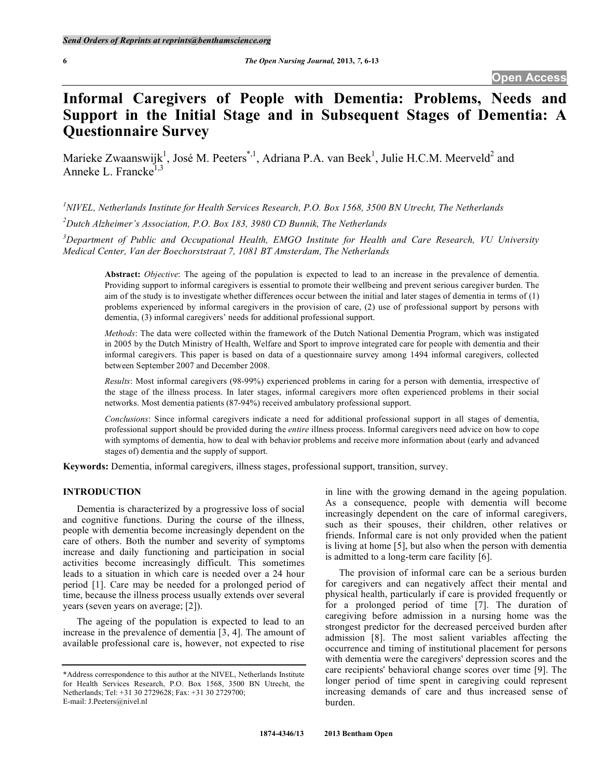# **Informal Caregivers of People with Dementia: Problems, Needs and Support in the Initial Stage and in Subsequent Stages of Dementia: A Questionnaire Survey**

Marieke Zwaanswijk<sup>1</sup>, José M. Peeters<sup>\*,1</sup>, Adriana P.A. van Beek<sup>1</sup>, Julie H.C.M. Meerveld<sup>2</sup> and Anneke L. Francke $^{1,3}$ 

<sup>1</sup> NIVEL, Netherlands Institute for Health Services Research, P.O. Box 1568, 3500 BN Utrecht, The Netherlands

*2 Dutch Alzheimer's Association, P.O. Box 183, 3980 CD Bunnik, The Netherlands* 

*3 Department of Public and Occupational Health, EMGO Institute for Health and Care Research, VU University Medical Center, Van der Boechorststraat 7, 1081 BT Amsterdam, The Netherlands* 

**Abstract:** *Objective*: The ageing of the population is expected to lead to an increase in the prevalence of dementia. Providing support to informal caregivers is essential to promote their wellbeing and prevent serious caregiver burden. The aim of the study is to investigate whether differences occur between the initial and later stages of dementia in terms of (1) problems experienced by informal caregivers in the provision of care, (2) use of professional support by persons with dementia, (3) informal caregivers' needs for additional professional support.

*Methods*: The data were collected within the framework of the Dutch National Dementia Program, which was instigated in 2005 by the Dutch Ministry of Health, Welfare and Sport to improve integrated care for people with dementia and their informal caregivers. This paper is based on data of a questionnaire survey among 1494 informal caregivers, collected between September 2007 and December 2008.

*Results*: Most informal caregivers (98-99%) experienced problems in caring for a person with dementia, irrespective of the stage of the illness process. In later stages, informal caregivers more often experienced problems in their social networks. Most dementia patients (87-94%) received ambulatory professional support.

*Conclusions*: Since informal caregivers indicate a need for additional professional support in all stages of dementia, professional support should be provided during the *entire* illness process. Informal caregivers need advice on how to cope with symptoms of dementia, how to deal with behavior problems and receive more information about (early and advanced stages of) dementia and the supply of support.

**Keywords:** Dementia, informal caregivers, illness stages, professional support, transition, survey.

# **INTRODUCTION**

 Dementia is characterized by a progressive loss of social and cognitive functions. During the course of the illness, people with dementia become increasingly dependent on the care of others. Both the number and severity of symptoms increase and daily functioning and participation in social activities become increasingly difficult. This sometimes leads to a situation in which care is needed over a 24 hour period [1]. Care may be needed for a prolonged period of time, because the illness process usually extends over several years (seven years on average; [2]).

 The ageing of the population is expected to lead to an increase in the prevalence of dementia [3, 4]. The amount of available professional care is, however, not expected to rise

in line with the growing demand in the ageing population. As a consequence, people with dementia will become increasingly dependent on the care of informal caregivers, such as their spouses, their children, other relatives or friends. Informal care is not only provided when the patient is living at home [5], but also when the person with dementia is admitted to a long-term care facility [6].

 The provision of informal care can be a serious burden for caregivers and can negatively affect their mental and physical health, particularly if care is provided frequently or for a prolonged period of time [7]. The duration of caregiving before admission in a nursing home was the strongest predictor for the decreased perceived burden after admission [8]. The most salient variables affecting the occurrence and timing of institutional placement for persons with dementia were the caregivers' depression scores and the care recipients' behavioral change scores over time [9]. The longer period of time spent in caregiving could represent increasing demands of care and thus increased sense of burden.

<sup>\*</sup>Address correspondence to this author at the NIVEL, Netherlands Institute for Health Services Research, P.O. Box 1568, 3500 BN Utrecht, the Netherlands; Tel: +31 30 2729628; Fax: +31 30 2729700; E-mail: J.Peeters@nivel.nl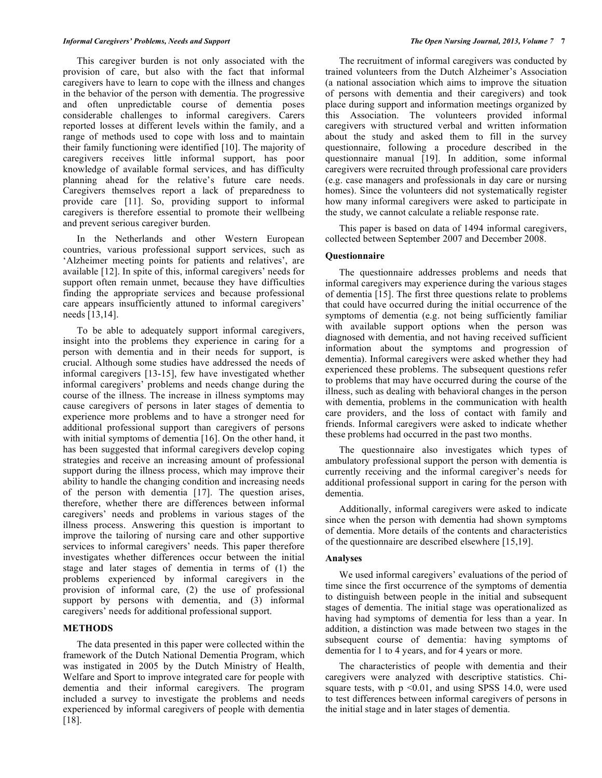This caregiver burden is not only associated with the provision of care, but also with the fact that informal caregivers have to learn to cope with the illness and changes in the behavior of the person with dementia. The progressive and often unpredictable course of dementia poses considerable challenges to informal caregivers. Carers reported losses at different levels within the family, and a range of methods used to cope with loss and to maintain their family functioning were identified [10]. The majority of caregivers receives little informal support, has poor knowledge of available formal services, and has difficulty planning ahead for the relative's future care needs. Caregivers themselves report a lack of preparedness to provide care [11]. So, providing support to informal caregivers is therefore essential to promote their wellbeing and prevent serious caregiver burden.

 In the Netherlands and other Western European countries, various professional support services, such as 'Alzheimer meeting points for patients and relatives', are available [12]. In spite of this, informal caregivers' needs for support often remain unmet, because they have difficulties finding the appropriate services and because professional care appears insufficiently attuned to informal caregivers' needs [13,14].

 To be able to adequately support informal caregivers, insight into the problems they experience in caring for a person with dementia and in their needs for support, is crucial. Although some studies have addressed the needs of informal caregivers [13-15], few have investigated whether informal caregivers' problems and needs change during the course of the illness. The increase in illness symptoms may cause caregivers of persons in later stages of dementia to experience more problems and to have a stronger need for additional professional support than caregivers of persons with initial symptoms of dementia [16]. On the other hand, it has been suggested that informal caregivers develop coping strategies and receive an increasing amount of professional support during the illness process, which may improve their ability to handle the changing condition and increasing needs of the person with dementia [17]. The question arises, therefore, whether there are differences between informal caregivers' needs and problems in various stages of the illness process. Answering this question is important to improve the tailoring of nursing care and other supportive services to informal caregivers' needs. This paper therefore investigates whether differences occur between the initial stage and later stages of dementia in terms of (1) the problems experienced by informal caregivers in the provision of informal care, (2) the use of professional support by persons with dementia, and  $(3)$  informal caregivers' needs for additional professional support.

### **METHODS**

 The data presented in this paper were collected within the framework of the Dutch National Dementia Program, which was instigated in 2005 by the Dutch Ministry of Health, Welfare and Sport to improve integrated care for people with dementia and their informal caregivers. The program included a survey to investigate the problems and needs experienced by informal caregivers of people with dementia [18].

 The recruitment of informal caregivers was conducted by trained volunteers from the Dutch Alzheimer's Association (a national association which aims to improve the situation of persons with dementia and their caregivers) and took place during support and information meetings organized by this Association. The volunteers provided informal caregivers with structured verbal and written information about the study and asked them to fill in the survey questionnaire, following a procedure described in the questionnaire manual [19]. In addition, some informal caregivers were recruited through professional care providers (e.g. case managers and professionals in day care or nursing homes). Since the volunteers did not systematically register how many informal caregivers were asked to participate in the study, we cannot calculate a reliable response rate.

 This paper is based on data of 1494 informal caregivers, collected between September 2007 and December 2008.

#### **Questionnaire**

 The questionnaire addresses problems and needs that informal caregivers may experience during the various stages of dementia [15]. The first three questions relate to problems that could have occurred during the initial occurrence of the symptoms of dementia (e.g. not being sufficiently familiar with available support options when the person was diagnosed with dementia, and not having received sufficient information about the symptoms and progression of dementia). Informal caregivers were asked whether they had experienced these problems. The subsequent questions refer to problems that may have occurred during the course of the illness, such as dealing with behavioral changes in the person with dementia, problems in the communication with health care providers, and the loss of contact with family and friends. Informal caregivers were asked to indicate whether these problems had occurred in the past two months.

 The questionnaire also investigates which types of ambulatory professional support the person with dementia is currently receiving and the informal caregiver's needs for additional professional support in caring for the person with dementia.

 Additionally, informal caregivers were asked to indicate since when the person with dementia had shown symptoms of dementia. More details of the contents and characteristics of the questionnaire are described elsewhere [15,19].

#### **Analyses**

 We used informal caregivers' evaluations of the period of time since the first occurrence of the symptoms of dementia to distinguish between people in the initial and subsequent stages of dementia. The initial stage was operationalized as having had symptoms of dementia for less than a year. In addition, a distinction was made between two stages in the subsequent course of dementia: having symptoms of dementia for 1 to 4 years, and for 4 years or more.

 The characteristics of people with dementia and their caregivers were analyzed with descriptive statistics. Chisquare tests, with  $p \le 0.01$ , and using SPSS 14.0, were used to test differences between informal caregivers of persons in the initial stage and in later stages of dementia.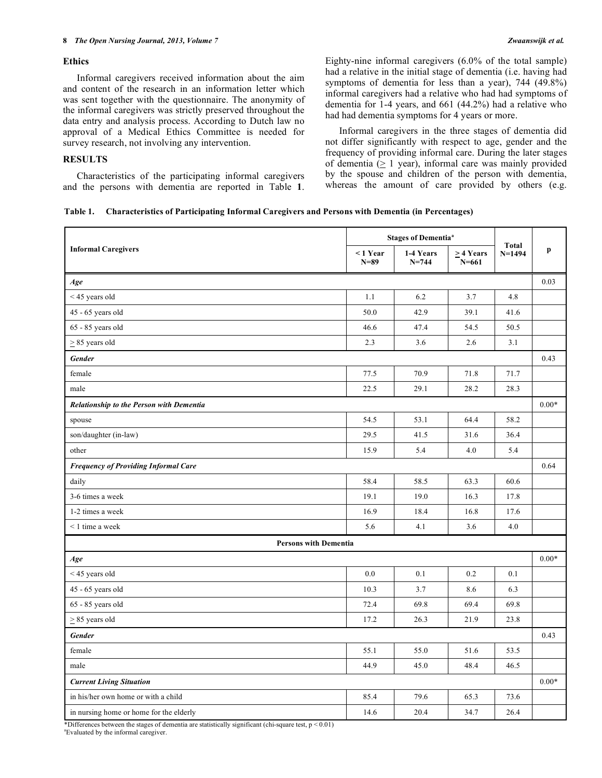# **Ethics**

 Informal caregivers received information about the aim and content of the research in an information letter which was sent together with the questionnaire. The anonymity of the informal caregivers was strictly preserved throughout the data entry and analysis process. According to Dutch law no approval of a Medical Ethics Committee is needed for survey research, not involving any intervention.

# **RESULTS**

 Characteristics of the participating informal caregivers and the persons with dementia are reported in Table **1**. Eighty-nine informal caregivers (6.0% of the total sample) had a relative in the initial stage of dementia (i.e. having had symptoms of dementia for less than a year), 744 (49.8%) informal caregivers had a relative who had had symptoms of dementia for 1-4 years, and 661 (44.2%) had a relative who had had dementia symptoms for 4 years or more.

 Informal caregivers in the three stages of dementia did not differ significantly with respect to age, gender and the frequency of providing informal care. During the later stages of dementia (> 1 year), informal care was mainly provided by the spouse and children of the person with dementia, whereas the amount of care provided by others (e.g.

|                                                 | <b>Stages of Dementia<sup>ª</sup></b> |                        |                        | Total    |         |  |
|-------------------------------------------------|---------------------------------------|------------------------|------------------------|----------|---------|--|
| <b>Informal Caregivers</b>                      | $< 1$ Year<br>$N=89$                  | 1-4 Years<br>$N = 744$ | > 4 Years<br>$N = 661$ | $N=1494$ | p       |  |
| Age                                             |                                       |                        |                        |          | 0.03    |  |
| $<$ 45 years old                                | 1.1                                   | 6.2                    | 3.7                    | 4.8      |         |  |
| 45 - 65 years old                               | 50.0                                  | 42.9                   | 39.1                   | 41.6     |         |  |
| 65 - 85 years old                               | 46.6                                  | 47.4                   | 54.5                   | 50.5     |         |  |
| $\geq$ 85 years old                             | 2.3                                   | 3.6                    | 2.6                    | 3.1      |         |  |
| Gender                                          |                                       |                        |                        |          | 0.43    |  |
| female                                          | 77.5                                  | 70.9                   | 71.8                   | 71.7     |         |  |
| male                                            | 22.5                                  | 29.1                   | 28.2                   | 28.3     |         |  |
| <b>Relationship to the Person with Dementia</b> |                                       |                        |                        |          | $0.00*$ |  |
| spouse                                          | 54.5                                  | 53.1                   | 64.4                   | 58.2     |         |  |
| son/daughter (in-law)                           | 29.5                                  | 41.5                   | 31.6                   | 36.4     |         |  |
| other                                           | 15.9                                  | 5.4                    | 4.0                    | 5.4      |         |  |
| <b>Frequency of Providing Informal Care</b>     |                                       |                        |                        |          | 0.64    |  |
| daily                                           | 58.4                                  | 58.5                   | 63.3                   | 60.6     |         |  |
| 3-6 times a week                                | 19.1                                  | 19.0                   | 16.3                   | 17.8     |         |  |
| 1-2 times a week                                | 16.9                                  | 18.4                   | 16.8                   | 17.6     |         |  |
| $\leq$ 1 time a week                            | 5.6                                   | 4.1                    | 3.6                    | 4.0      |         |  |
| <b>Persons with Dementia</b>                    |                                       |                        |                        |          |         |  |
| Age                                             |                                       |                        |                        |          | $0.00*$ |  |
| <45 years old                                   | 0.0                                   | 0.1                    | 0.2                    | 0.1      |         |  |
| 45 - 65 years old                               | 10.3                                  | 3.7                    | 8.6                    | 6.3      |         |  |
| 65 - 85 years old                               | 72.4                                  | 69.8                   | 69.4                   | 69.8     |         |  |
| $\geq$ 85 years old                             | 17.2                                  | 26.3                   | 21.9                   | 23.8     |         |  |
| <b>Gender</b>                                   |                                       |                        |                        |          |         |  |
| female                                          | 55.1                                  | 55.0                   | 51.6                   | 53.5     |         |  |
| male                                            | 44.9                                  | 45.0                   | 48.4                   | 46.5     |         |  |
| <b>Current Living Situation</b>                 |                                       |                        |                        |          | $0.00*$ |  |
| in his/her own home or with a child             | 85.4                                  | 79.6                   | 65.3                   | 73.6     |         |  |
| in nursing home or home for the elderly         | 14.6                                  | 20.4                   | 34.7                   | 26.4     |         |  |

\*Differences between the stages of dementia are statistically significant (chi-square test, p < 0.01)

a Evaluated by the informal caregiver.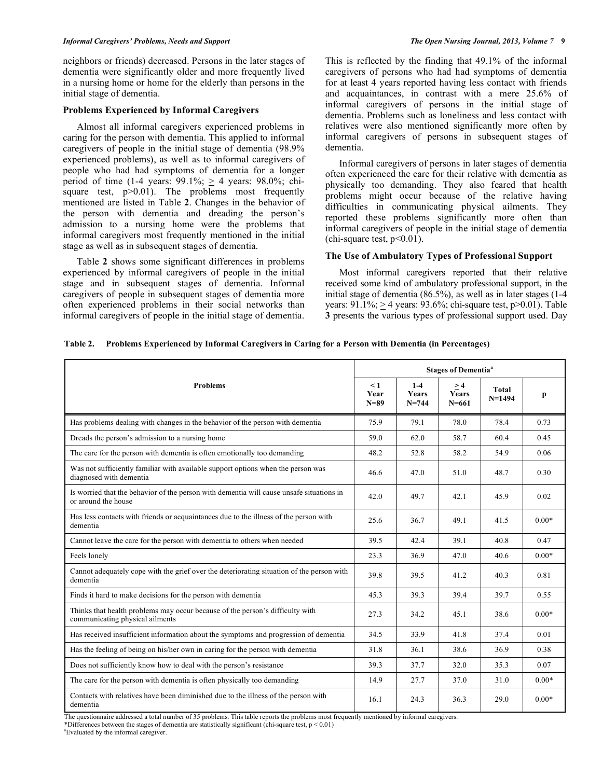#### *Informal Caregivers' Problems, Needs and Support The Open Nursing Journal, 2013, Volume 7* **9**

neighbors or friends) decreased. Persons in the later stages of dementia were significantly older and more frequently lived in a nursing home or home for the elderly than persons in the initial stage of dementia.

### **Problems Experienced by Informal Caregivers**

 Almost all informal caregivers experienced problems in caring for the person with dementia. This applied to informal caregivers of people in the initial stage of dementia (98.9% experienced problems), as well as to informal caregivers of people who had had symptoms of dementia for a longer period of time  $(1-4 \text{ years: } 99.1\% \div 4 \text{ years: } 98.0\% \div \text{ chi}$ square test,  $p > 0.01$ ). The problems most frequently mentioned are listed in Table **2**. Changes in the behavior of the person with dementia and dreading the person's admission to a nursing home were the problems that informal caregivers most frequently mentioned in the initial stage as well as in subsequent stages of dementia.

 Table **2** shows some significant differences in problems experienced by informal caregivers of people in the initial stage and in subsequent stages of dementia. Informal caregivers of people in subsequent stages of dementia more often experienced problems in their social networks than informal caregivers of people in the initial stage of dementia.

This is reflected by the finding that 49.1% of the informal caregivers of persons who had had symptoms of dementia for at least 4 years reported having less contact with friends and acquaintances, in contrast with a mere 25.6% of informal caregivers of persons in the initial stage of dementia. Problems such as loneliness and less contact with relatives were also mentioned significantly more often by informal caregivers of persons in subsequent stages of dementia.

 Informal caregivers of persons in later stages of dementia often experienced the care for their relative with dementia as physically too demanding. They also feared that health problems might occur because of the relative having difficulties in communicating physical ailments. They reported these problems significantly more often than informal caregivers of people in the initial stage of dementia (chi-square test,  $p<0.01$ ).

# **The Use of Ambulatory Types of Professional Support**

 Most informal caregivers reported that their relative received some kind of ambulatory professional support, in the initial stage of dementia (86.5%), as well as in later stages (1-4 years:  $91.1\%$ ;  $\geq 4$  years:  $93.6\%$ ; chi-square test, p $>0.01$ ). Table **3** presents the various types of professional support used. Day

|  | Table 2. Problems Experienced by Informal Caregivers in Caring for a Person with Dementia (in Percentages) |  |  |  |  |  |
|--|------------------------------------------------------------------------------------------------------------|--|--|--|--|--|
|--|------------------------------------------------------------------------------------------------------------|--|--|--|--|--|

|                                                                                                                  | <b>Stages of Dementia<sup>ª</sup></b> |                                      |                                 |                            |         |  |
|------------------------------------------------------------------------------------------------------------------|---------------------------------------|--------------------------------------|---------------------------------|----------------------------|---------|--|
| <b>Problems</b>                                                                                                  | $\leq 1$<br>Year<br>$N=89$            | $1 - 4$<br><b>Years</b><br>$N = 744$ | >4<br><b>Years</b><br>$N = 661$ | <b>Total</b><br>$N = 1494$ | p       |  |
| Has problems dealing with changes in the behavior of the person with dementia                                    | 75.9                                  | 79.1                                 | 78.0                            | 78.4                       | 0.73    |  |
| Dreads the person's admission to a nursing home                                                                  | 59.0                                  | 62.0                                 | 58.7                            | 60.4                       | 0.45    |  |
| The care for the person with dementia is often emotionally too demanding                                         | 48.2                                  | 52.8                                 | 58.2                            | 54.9                       | 0.06    |  |
| Was not sufficiently familiar with available support options when the person was<br>diagnosed with dementia      | 46.6                                  | 47.0                                 | 51.0                            | 48.7                       | 0.30    |  |
| Is worried that the behavior of the person with dementia will cause unsafe situations in<br>or around the house  | 42.0                                  | 49.7                                 | 42.1                            | 45.9                       | 0.02    |  |
| Has less contacts with friends or acquaintances due to the illness of the person with<br>dementia                | 25.6                                  | 36.7                                 | 49.1                            | 41.5                       | $0.00*$ |  |
| Cannot leave the care for the person with dementia to others when needed                                         | 39.5                                  | 42.4                                 | 39.1                            | 40.8                       | 0.47    |  |
| Feels lonely                                                                                                     | 23.3                                  | 36.9                                 | 47.0                            | 40.6                       | $0.00*$ |  |
| Cannot adequately cope with the grief over the deteriorating situation of the person with<br>dementia            | 39.8                                  | 39.5                                 | 41.2                            | 40.3                       | 0.81    |  |
| Finds it hard to make decisions for the person with dementia                                                     | 45.3                                  | 39.3                                 | 39.4                            | 39.7                       | 0.55    |  |
| Thinks that health problems may occur because of the person's difficulty with<br>communicating physical ailments | 27.3                                  | 34.2                                 | 45.1                            | 38.6                       | $0.00*$ |  |
| Has received insufficient information about the symptoms and progression of dementia                             | 34.5                                  | 33.9                                 | 41.8                            | 37.4                       | 0.01    |  |
| Has the feeling of being on his/her own in caring for the person with dementia                                   | 31.8                                  | 36.1                                 | 38.6                            | 36.9                       | 0.38    |  |
| Does not sufficiently know how to deal with the person's resistance                                              | 39.3                                  | 37.7                                 | 32.0                            | 35.3                       | 0.07    |  |
| The care for the person with dementia is often physically too demanding                                          | 14.9                                  | 27.7                                 | 37.0                            | 31.0                       | $0.00*$ |  |
| Contacts with relatives have been diminished due to the illness of the person with<br>dementia                   | 16.1                                  | 24.3                                 | 36.3                            | 29.0                       | $0.00*$ |  |

The questionnaire addressed a total number of 35 problems. This table reports the problems most frequently mentioned by informal caregivers.

\*Differences between the stages of dementia are statistically significant (chi-square test,  $p < 0.01$ )

a Evaluated by the informal caregiver.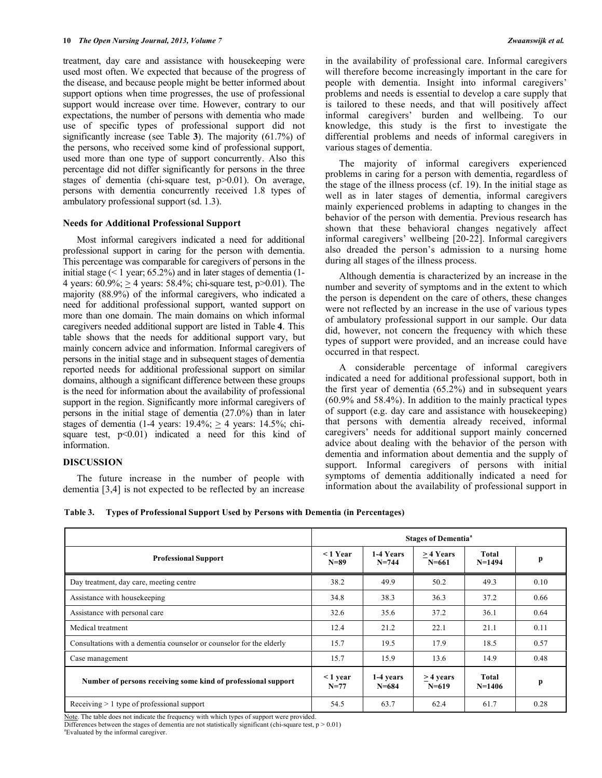treatment, day care and assistance with housekeeping were used most often. We expected that because of the progress of the disease, and because people might be better informed about support options when time progresses, the use of professional support would increase over time. However, contrary to our expectations, the number of persons with dementia who made use of specific types of professional support did not significantly increase (see Table **3**). The majority (61.7%) of the persons, who received some kind of professional support, used more than one type of support concurrently. Also this percentage did not differ significantly for persons in the three stages of dementia (chi-square test, p>0.01). On average, persons with dementia concurrently received 1.8 types of ambulatory professional support (sd. 1.3).

### **Needs for Additional Professional Support**

 Most informal caregivers indicated a need for additional professional support in caring for the person with dementia. This percentage was comparable for caregivers of persons in the initial stage  $(< 1$  year; 65.2%) and in later stages of dementia  $(1 -$ 4 years:  $60.9\%$ ;  $> 4$  years:  $58.4\%$ ; chi-square test,  $p > 0.01$ ). The majority (88.9%) of the informal caregivers, who indicated a need for additional professional support, wanted support on more than one domain. The main domains on which informal caregivers needed additional support are listed in Table **4**. This table shows that the needs for additional support vary, but mainly concern advice and information. Informal caregivers of persons in the initial stage and in subsequent stages of dementia reported needs for additional professional support on similar domains, although a significant difference between these groups is the need for information about the availability of professional support in the region. Significantly more informal caregivers of persons in the initial stage of dementia (27.0%) than in later stages of dementia (1-4 years:  $19.4\%$ ;  $\geq 4$  years:  $14.5\%$ ; chisquare test,  $p<0.01$ ) indicated a need for this kind of information.

# **DISCUSSION**

 The future increase in the number of people with dementia [3,4] is not expected to be reflected by an increase in the availability of professional care. Informal caregivers will therefore become increasingly important in the care for people with dementia. Insight into informal caregivers' problems and needs is essential to develop a care supply that is tailored to these needs, and that will positively affect informal caregivers' burden and wellbeing. To our knowledge, this study is the first to investigate the differential problems and needs of informal caregivers in various stages of dementia.

 The majority of informal caregivers experienced problems in caring for a person with dementia, regardless of the stage of the illness process (cf. 19). In the initial stage as well as in later stages of dementia, informal caregivers mainly experienced problems in adapting to changes in the behavior of the person with dementia. Previous research has shown that these behavioral changes negatively affect informal caregivers' wellbeing [20-22]. Informal caregivers also dreaded the person's admission to a nursing home during all stages of the illness process.

 Although dementia is characterized by an increase in the number and severity of symptoms and in the extent to which the person is dependent on the care of others, these changes were not reflected by an increase in the use of various types of ambulatory professional support in our sample. Our data did, however, not concern the frequency with which these types of support were provided, and an increase could have occurred in that respect.

 A considerable percentage of informal caregivers indicated a need for additional professional support, both in the first year of dementia (65.2%) and in subsequent years (60.9% and 58.4%). In addition to the mainly practical types of support (e.g. day care and assistance with housekeeping) that persons with dementia already received, informal caregivers' needs for additional support mainly concerned advice about dealing with the behavior of the person with dementia and information about dementia and the supply of support. Informal caregivers of persons with initial symptoms of dementia additionally indicated a need for information about the availability of professional support in

|                                                                      | <b>Stages of Dementia<sup>a</sup></b> |                        |                          |                   |      |  |
|----------------------------------------------------------------------|---------------------------------------|------------------------|--------------------------|-------------------|------|--|
| <b>Professional Support</b>                                          | $< 1$ Year<br>$N = 89$                | 1-4 Years<br>$N = 744$ | $>4$ Years<br>$N = 661$  | Total<br>$N=1494$ | p    |  |
| Day treatment, day care, meeting centre                              | 38.2                                  | 49.9                   | 50.2                     | 49.3              | 0.10 |  |
| Assistance with housekeeping                                         | 34.8                                  | 38.3                   | 36.3                     | 37.2              | 0.66 |  |
| Assistance with personal care                                        | 32.6                                  | 35.6                   | 37.2                     | 36.1              | 0.64 |  |
| Medical treatment                                                    | 12.4                                  | 21.2                   | 22.1                     | 21.1              | 0.11 |  |
| Consultations with a dementia counselor or counselor for the elderly | 15.7                                  | 19.5                   | 17.9                     | 18.5              | 0.57 |  |
| Case management                                                      | 15.7                                  | 15.9                   | 13.6                     | 14.9              | 0.48 |  |
| Number of persons receiving some kind of professional support        | $\leq$ 1 year<br>$N = 77$             | 1-4 years<br>$N = 684$ | $>$ 4 years<br>$N = 619$ | Total<br>$N=1406$ | p    |  |
| Receiving $> 1$ type of professional support                         | 54.5                                  | 63.7                   | 62.4                     | 61.7              | 0.28 |  |

Note. The table does not indicate the frequency with which types of support were provided.

Differences between the stages of dementia are not statistically significant (chi-square test,  $p > 0.01$ ) a Evaluated by the informal caregiver.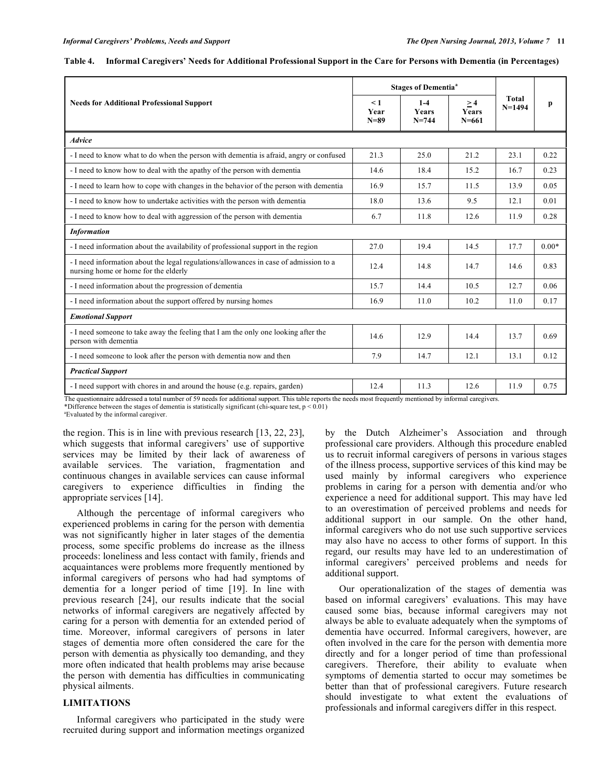| <b>Needs for Additional Professional Support</b>                                                                              |      | <b>Stages of Dementia<sup>a</sup></b> |                          |                     |         |
|-------------------------------------------------------------------------------------------------------------------------------|------|---------------------------------------|--------------------------|---------------------|---------|
|                                                                                                                               |      | $1 - 4$<br><b>Years</b><br>$N = 744$  | >4<br>Years<br>$N = 661$ | Total<br>$N = 1494$ | p       |
| <b>Advice</b>                                                                                                                 |      |                                       |                          |                     |         |
| - I need to know what to do when the person with dementia is afraid, angry or confused                                        | 21.3 | 25.0                                  | 21.2                     | 23.1                | 0.22    |
| - I need to know how to deal with the apathy of the person with dementia                                                      | 14.6 | 18.4                                  | 15.2                     | 16.7                | 0.23    |
| - I need to learn how to cope with changes in the behavior of the person with dementia                                        | 16.9 | 15.7                                  | 11.5                     | 13.9                | 0.05    |
| - I need to know how to undertake activities with the person with dementia                                                    | 18.0 | 13.6                                  | 9.5                      | 12.1                | 0.01    |
| - I need to know how to deal with aggression of the person with dementia                                                      | 6.7  | 11.8                                  | 12.6                     | 11.9                | 0.28    |
| <b>Information</b>                                                                                                            |      |                                       |                          |                     |         |
| - I need information about the availability of professional support in the region                                             | 27.0 | 19.4                                  | 14.5                     | 17.7                | $0.00*$ |
| - I need information about the legal regulations/allowances in case of admission to a<br>nursing home or home for the elderly | 12.4 | 14.8                                  | 14.7                     | 14.6                | 0.83    |
| - I need information about the progression of dementia                                                                        | 15.7 | 14.4                                  | 10.5                     | 12.7                | 0.06    |
| - I need information about the support offered by nursing homes                                                               | 16.9 | 11.0                                  | 10.2                     | 11.0                | 0.17    |
| <b>Emotional Support</b>                                                                                                      |      |                                       |                          |                     |         |
| - I need someone to take away the feeling that I am the only one looking after the<br>person with dementia                    | 14.6 | 12.9                                  | 14.4                     | 13.7                | 0.69    |
| - I need someone to look after the person with dementia now and then                                                          | 7.9  | 14.7                                  | 12.1                     | 13.1                | 0.12    |
| <b>Practical Support</b>                                                                                                      |      |                                       |                          |                     |         |
| - I need support with chores in and around the house (e.g. repairs, garden)                                                   | 12.4 | 11.3                                  | 12.6                     | 11.9                | 0.75    |

| Table 4. Informal Caregivers' Needs for Additional Professional Support in the Care for Persons with Dementia (in Percentages) |  |  |
|--------------------------------------------------------------------------------------------------------------------------------|--|--|
|                                                                                                                                |  |  |

The questionnaire addressed a total number of 59 needs for additional support. This table reports the needs most frequently mentioned by informal caregivers. \*Difference between the stages of dementia is statistically significant (chi-square test,  $p < 0.01$ )

a Evaluated by the informal caregiver.

the region. This is in line with previous research [13, 22, 23], which suggests that informal caregivers' use of supportive services may be limited by their lack of awareness of available services. The variation, fragmentation and continuous changes in available services can cause informal caregivers to experience difficulties in finding the appropriate services [14].

 Although the percentage of informal caregivers who experienced problems in caring for the person with dementia was not significantly higher in later stages of the dementia process, some specific problems do increase as the illness proceeds: loneliness and less contact with family, friends and acquaintances were problems more frequently mentioned by informal caregivers of persons who had had symptoms of dementia for a longer period of time [19]. In line with previous research [24], our results indicate that the social networks of informal caregivers are negatively affected by caring for a person with dementia for an extended period of time. Moreover, informal caregivers of persons in later stages of dementia more often considered the care for the person with dementia as physically too demanding, and they more often indicated that health problems may arise because the person with dementia has difficulties in communicating physical ailments.

# **LIMITATIONS**

 Informal caregivers who participated in the study were recruited during support and information meetings organized by the Dutch Alzheimer's Association and through professional care providers. Although this procedure enabled us to recruit informal caregivers of persons in various stages of the illness process, supportive services of this kind may be used mainly by informal caregivers who experience problems in caring for a person with dementia and/or who experience a need for additional support. This may have led to an overestimation of perceived problems and needs for additional support in our sample. On the other hand, informal caregivers who do not use such supportive services may also have no access to other forms of support. In this regard, our results may have led to an underestimation of informal caregivers' perceived problems and needs for additional support.

 Our operationalization of the stages of dementia was based on informal caregivers' evaluations. This may have caused some bias, because informal caregivers may not always be able to evaluate adequately when the symptoms of dementia have occurred. Informal caregivers, however, are often involved in the care for the person with dementia more directly and for a longer period of time than professional caregivers. Therefore, their ability to evaluate when symptoms of dementia started to occur may sometimes be better than that of professional caregivers. Future research should investigate to what extent the evaluations of professionals and informal caregivers differ in this respect.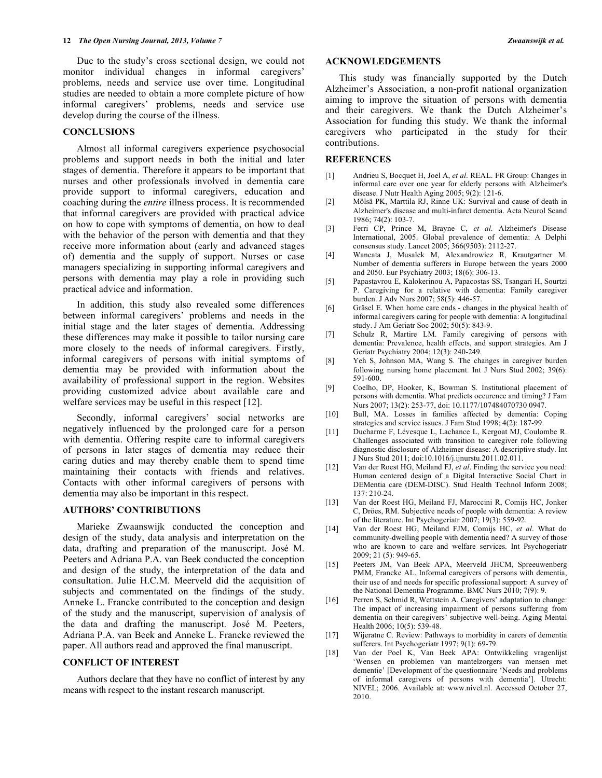Due to the study's cross sectional design, we could not monitor individual changes in informal caregivers' problems, needs and service use over time. Longitudinal studies are needed to obtain a more complete picture of how informal caregivers' problems, needs and service use develop during the course of the illness.

### **CONCLUSIONS**

 Almost all informal caregivers experience psychosocial problems and support needs in both the initial and later stages of dementia. Therefore it appears to be important that nurses and other professionals involved in dementia care provide support to informal caregivers, education and coaching during the *entire* illness process. It is recommended that informal caregivers are provided with practical advice on how to cope with symptoms of dementia, on how to deal with the behavior of the person with dementia and that they receive more information about (early and advanced stages of) dementia and the supply of support. Nurses or case managers specializing in supporting informal caregivers and persons with dementia may play a role in providing such practical advice and information.

 In addition, this study also revealed some differences between informal caregivers' problems and needs in the initial stage and the later stages of dementia. Addressing these differences may make it possible to tailor nursing care more closely to the needs of informal caregivers. Firstly, informal caregivers of persons with initial symptoms of dementia may be provided with information about the availability of professional support in the region. Websites providing customized advice about available care and welfare services may be useful in this respect [12].

 Secondly, informal caregivers' social networks are negatively influenced by the prolonged care for a person with dementia. Offering respite care to informal caregivers of persons in later stages of dementia may reduce their caring duties and may thereby enable them to spend time maintaining their contacts with friends and relatives. Contacts with other informal caregivers of persons with dementia may also be important in this respect.

#### **AUTHORS' CONTRIBUTIONS**

 Marieke Zwaanswijk conducted the conception and design of the study, data analysis and interpretation on the data, drafting and preparation of the manuscript. José M. Peeters and Adriana P.A. van Beek conducted the conception and design of the study, the interpretation of the data and consultation. Julie H.C.M. Meerveld did the acquisition of subjects and commentated on the findings of the study. Anneke L. Francke contributed to the conception and design of the study and the manuscript, supervision of analysis of the data and drafting the manuscript. José M. Peeters, Adriana P.A. van Beek and Anneke L. Francke reviewed the paper. All authors read and approved the final manuscript.

### **CONFLICT OF INTEREST**

 Authors declare that they have no conflict of interest by any means with respect to the instant research manuscript.

#### **ACKNOWLEDGEMENTS**

 This study was financially supported by the Dutch Alzheimer's Association, a non-profit national organization aiming to improve the situation of persons with dementia and their caregivers. We thank the Dutch Alzheimer's Association for funding this study. We thank the informal caregivers who participated in the study for their contributions.

### **REFERENCES**

- [1] Andrieu S, Bocquet H, Joel A, *et al*. REAL. FR Group: Changes in informal care over one year for elderly persons with Alzheimer's disease. J Nutr Health Aging 2005; 9(2): 121-6.
- [2] Mölsä PK, Marttila RJ, Rinne UK: Survival and cause of death in Alzheimer's disease and multi-infarct dementia. Acta Neurol Scand 1986; 74(2): 103-7.
- [3] Ferri CP, Prince M, Brayne C, *et al*. Alzheimer's Disease International, 2005. Global prevalence of dementia: A Delphi consensus study. Lancet 2005; 366(9503): 2112-27.
- [4] Wancata J, Musalek M, Alexandrowicz R, Krautgartner M. Number of dementia sufferers in Europe between the years 2000 and 2050. Eur Psychiatry 2003; 18(6): 306-13.
- [5] Papastavrou E, Kalokerinou A, Papacostas SS, Tsangari H, Sourtzi P. Caregiving for a relative with dementia: Family caregiver burden. J Adv Nurs 2007; 58(5): 446-57.
- [6] Gräsel E. When home care ends changes in the physical health of informal caregivers caring for people with dementia: A longitudinal study. J Am Geriatr Soc 2002; 50(5): 843-9.
- [7] Schulz R, Martire LM. Family caregiving of persons with dementia: Prevalence, health effects, and support strategies. Am J Geriatr Psychiatry 2004; 12(3): 240-249.
- [8] Yeh S, Johnson MA, Wang S. The changes in caregiver burden following nursing home placement. Int J Nurs Stud 2002; 39(6): 591-600.
- [9] Coelho, DP, Hooker, K, Bowman S. Institutional placement of persons with dementia. What predicts occurence and timing? J Fam Nurs 2007; 13(2): 253-77, doi: 10.1177/107484070730 0947.
- [10] Bull, MA. Losses in families affected by dementia: Coping strategies and service issues. J Fam Stud 1998; 4(2): 187-99.
- [11] Ducharme F, Lévesque L, Lachance L, Kergoat MJ, Coulombe R. Challenges associated with transition to caregiver role following diagnostic disclosure of Alzheimer disease: A descriptive study. Int J Nurs Stud 2011; doi:10.1016/j.ijnurstu.2011.02.011.
- [12] Van der Roest HG, Meiland FJ, *et al*. Finding the service you need: Human centered design of a Digital Interactive Social Chart in DEMentia care (DEM-DISC). Stud Health Technol Inform 2008; 137: 210-24.
- [13] Van der Roest HG, Meiland FJ, Maroccini R, Comijs HC, Jonker C, Dröes, RM. Subjective needs of people with dementia: A review of the literature. Int Psychogeriatr 2007; 19(3): 559-92.
- [14] Van der Roest HG, Meiland FJM, Comijs HC, *et al*. What do community-dwelling people with dementia need? A survey of those who are known to care and welfare services. Int Psychogeriatr 2009; 21 (5): 949-65.
- [15] Peeters JM, Van Beek APA, Meerveld JHCM, Spreeuwenberg PMM, Francke AL. Informal caregivers of persons with dementia, their use of and needs for specific professional support: A survey of the National Dementia Programme. BMC Nurs 2010; 7(9): 9.
- [16] Perren S, Schmid R, Wettstein A. Caregivers' adaptation to change: The impact of increasing impairment of persons suffering from dementia on their caregivers' subjective well-being. Aging Mental Health 2006; 10(5): 539-48.
- [17] Wijeratne C. Review: Pathways to morbidity in carers of dementia sufferers. Int Psychogeriatr 1997; 9(1): 69-79.
- [18] Van der Poel K, Van Beek APA: Ontwikkeling vragenlijst 'Wensen en problemen van mantelzorgers van mensen met dementie' [Development of the questionnaire 'Needs and problems of informal caregivers of persons with dementia']. Utrecht: NIVEL; 2006. Available at: www.nivel.nl. Accessed October 27, 2010.